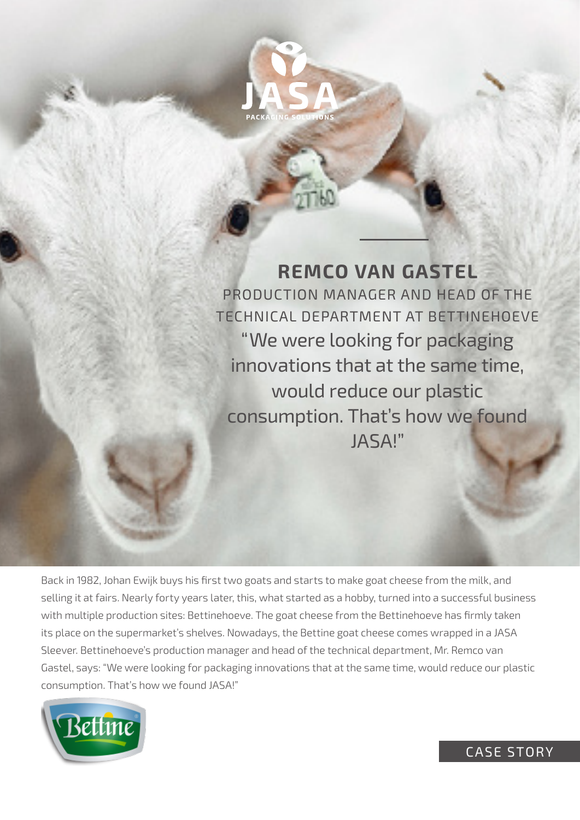

**REMCO VAN GASTEL** PRODUCTION MANAGER AND HEAD OF THE TECHNICAL DEPARTMENT AT BETTINEHOEVE "We were looking for packaging innovations that at the same time, would reduce our plastic consumption. That's how we found JASA!"

Back in 1982, Johan Ewijk buys his first two goats and starts to make goat cheese from the milk, and selling it at fairs. Nearly forty years later, this, what started as a hobby, turned into a successful business with multiple production sites: Bettinehoeve. The goat cheese from the Bettinehoeve has firmly taken its place on the supermarket's shelves. Nowadays, the Bettine goat cheese comes wrapped in a JASA Sleever. Bettinehoeve's production manager and head of the technical department, Mr. Remco van Gastel, says: "We were looking for packaging innovations that at the same time, would reduce our plastic consumption. That's how we found JASA!"